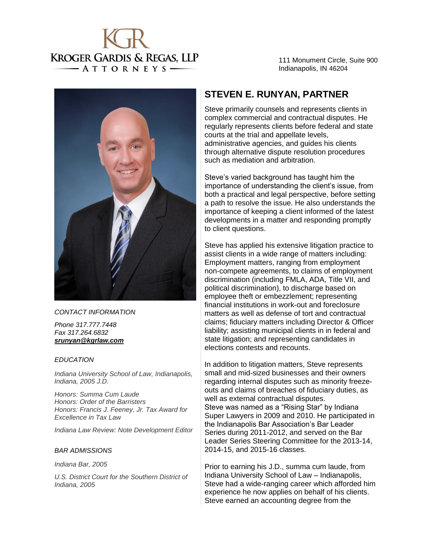

111 Monument Circle, Suite 900 Indianapolis, IN 46204



#### *CONTACT INFORMATION*

*Phone 317.777.7448 Fax 317.264.6832 srunyan@kgrlaw.com*

#### *EDUCATION*

• *Indiana University School of Law, Indianapolis, Indiana, 2005 J.D.*

• *Honors: Summa Cum Laude Honors: Order of the Barristers Honors: Francis J. Feeney, Jr. Tax Award for Excellence in Tax Law* 

• *Indiana Law Review: Note Development Editor*

#### *BAR ADMISSIONS*

• *Indiana Bar, 2005*

• *U.S. District Court for the Southern District of Indiana, 2005*

## **STEVEN E. RUNYAN, PARTNER**

Steve primarily counsels and represents clients in complex commercial and contractual disputes. He regularly represents clients before federal and state courts at the trial and appellate levels, administrative agencies, and guides his clients through alternative dispute resolution procedures such as mediation and arbitration.

Steve's varied background has taught him the importance of understanding the client's issue, from both a practical and legal perspective, before setting a path to resolve the issue. He also understands the importance of keeping a client informed of the latest developments in a matter and responding promptly to client questions.

Steve has applied his extensive litigation practice to assist clients in a wide range of matters including: Employment matters, ranging from employment non-compete agreements, to claims of employment discrimination (including FMLA, ADA, Title VII, and political discrimination), to discharge based on employee theft or embezzlement; representing financial institutions in work-out and foreclosure matters as well as defense of tort and contractual claims; fiduciary matters including Director & Officer liability; assisting municipal clients in in federal and state litigation; and representing candidates in elections contests and recounts.

In addition to litigation matters, Steve represents small and mid-sized businesses and their owners regarding internal disputes such as minority freezeouts and claims of breaches of fiduciary duties, as well as external contractual disputes. Steve was named as a "Rising Star" by Indiana Super Lawyers in 2009 and 2010. He participated in the Indianapolis Bar Association's Bar Leader Series during 2011-2012, and served on the Bar Leader Series Steering Committee for the 2013-14, 2014-15, and 2015-16 classes.

Prior to earning his J.D., summa cum laude, from Indiana University School of Law – Indianapolis, Steve had a wide-ranging career which afforded him experience he now applies on behalf of his clients. Steve earned an accounting degree from the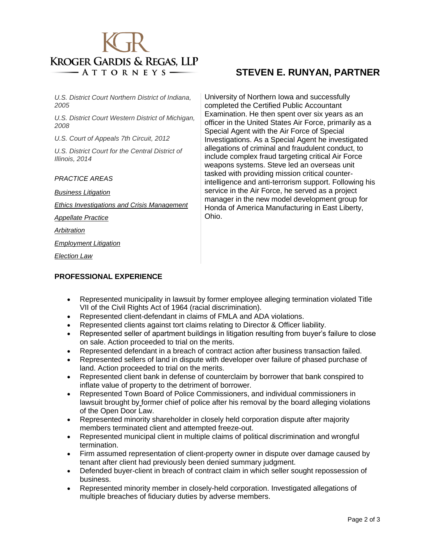

• *U.S. District Court Northern District of Indiana, 2005*

• *U.S. District Court Western District of Michigan, 2008*

• *U.S. Court of Appeals 7th Circuit, 2012*

• *U.S. District Court for the Central District of Illinois, 2014*

*PRACTICE AREAS*

• *[Business Litigation](http://www.kgrlaw.com/litigation)*

• *Ethics [Investigations and Crisis Management](http://www.kgrlaw.com/election-law)*

• *[Appellate Practice](http://www.kgrlaw.com/appellate-practice)*

• *Arbitration*

• *[Employment Litigation](http://www.kgrlaw.com/employment-law)*

• *Election Law*

## **STEVEN E. RUNYAN, PARTNER**

University of Northern Iowa and successfully completed the Certified Public Accountant Examination. He then spent over six years as an officer in the United States Air Force, primarily as a Special Agent with the Air Force of Special Investigations. As a Special Agent he investigated allegations of criminal and fraudulent conduct, to include complex fraud targeting critical Air Force weapons systems. Steve led an overseas unit tasked with providing mission critical counterintelligence and anti-terrorism support. Following his service in the Air Force, he served as a project manager in the new model development group for Honda of America Manufacturing in East Liberty, Ohio.

### **PROFESSIONAL EXPERIENCE**

- Represented municipality in lawsuit by former employee alleging termination violated Title VII of the Civil Rights Act of 1964 (racial discrimination).
- Represented client-defendant in claims of FMLA and ADA violations.
- Represented clients against tort claims relating to Director & Officer liability.
- Represented seller of apartment buildings in litigation resulting from buyer's failure to close on sale. Action proceeded to trial on the merits.
- Represented defendant in a breach of contract action after business transaction failed.
- Represented sellers of land in dispute with developer over failure of phased purchase of land. Action proceeded to trial on the merits.
- Represented client bank in defense of counterclaim by borrower that bank conspired to inflate value of property to the detriment of borrower.
- Represented Town Board of Police Commissioners, and individual commissioners in lawsuit brought by former chief of police after his removal by the board alleging violations of the Open Door Law.
- Represented minority shareholder in closely held corporation dispute after majority members terminated client and attempted freeze-out.
- Represented municipal client in multiple claims of political discrimination and wrongful termination.
- Firm assumed representation of client-property owner in dispute over damage caused by tenant after client had previously been denied summary judgment.
- Defended buyer-client in breach of contract claim in which seller sought repossession of business.
- Represented minority member in closely-held corporation. Investigated allegations of multiple breaches of fiduciary duties by adverse members.